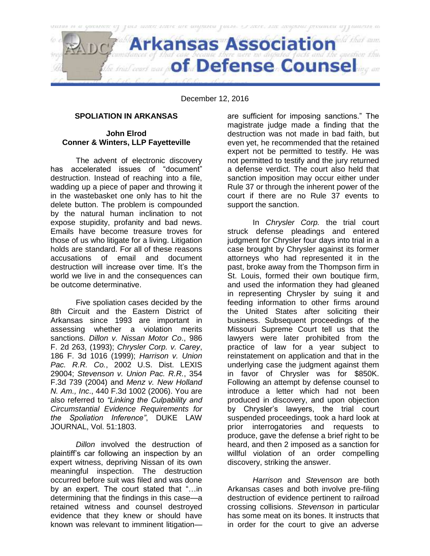

December 12, 2016

## **SPOLIATION IN ARKANSAS**

## **John Elrod Conner & Winters, LLP Fayetteville**

The advent of electronic discovery has accelerated issues of "document" destruction. Instead of reaching into a file, wadding up a piece of paper and throwing it in the wastebasket one only has to hit the delete button. The problem is compounded by the natural human inclination to not expose stupidity, profanity and bad news. Emails have become treasure troves for those of us who litigate for a living. Litigation holds are standard. For all of these reasons accusations of email and document destruction will increase over time. It's the world we live in and the consequences can be outcome determinative.

Five spoliation cases decided by the 8th Circuit and the Eastern District of Arkansas since 1993 are important in assessing whether a violation merits sanctions. *Dillon v. Nissan Motor Co*., 986 F. 2d 263, (1993); *Chrysler Corp. v. Carey*, 186 F. 3d 1016 (1999); *Harrison v. Union Pac. R.R. Co.*, 2002 U.S. Dist. LEXIS 29004; *Stevenson v. Union Pac. R.R.*, 354 F.3d 739 (2004) and *Menz v. New Holland N. Am., Inc*., 440 F.3d 1002 (2006). You are also referred to *"Linking the Culpability and Circumstantial Evidence Requirements for the Spoliation Inference"*, DUKE LAW JOURNAL, Vol. 51:1803.

*Dillon* involved the destruction of plaintiff's car following an inspection by an expert witness, depriving Nissan of its own meaningful inspection. The destruction occurred before suit was filed and was done by an expert. The court stated that "…in determining that the findings in this case—a retained witness and counsel destroyed evidence that they knew or should have known was relevant to imminent litigationare sufficient for imposing sanctions." The magistrate judge made a finding that the destruction was not made in bad faith, but even yet, he recommended that the retained expert not be permitted to testify. He was not permitted to testify and the jury returned a defense verdict. The court also held that sanction imposition may occur either under Rule 37 or through the inherent power of the court if there are no Rule 37 events to support the sanction.

In *Chrysler Corp.* the trial court struck defense pleadings and entered judgment for Chrysler four days into trial in a case brought by Chrysler against its former attorneys who had represented it in the past, broke away from the Thompson firm in St. Louis, formed their own boutique firm, and used the information they had gleaned in representing Chrysler by suing it and feeding information to other firms around the United States after soliciting their business. Subsequent proceedings of the Missouri Supreme Court tell us that the lawyers were later prohibited from the practice of law for a year subject to reinstatement on application and that in the underlying case the judgment against them in favor of Chrysler was for \$850K. Following an attempt by defense counsel to introduce a letter which had not been produced in discovery, and upon objection by Chrysler's lawyers, the trial court suspended proceedings, took a hard look at prior interrogatories and requests to produce, gave the defense a brief right to be heard, and then 2 imposed as a sanction for willful violation of an order compelling discovery, striking the answer.

*Harrison* and *Stevenson* are both Arkansas cases and both involve pre-filing destruction of evidence pertinent to railroad crossing collisions. *Stevenson* in particular has some meat on its bones. It instructs that in order for the court to give an adverse